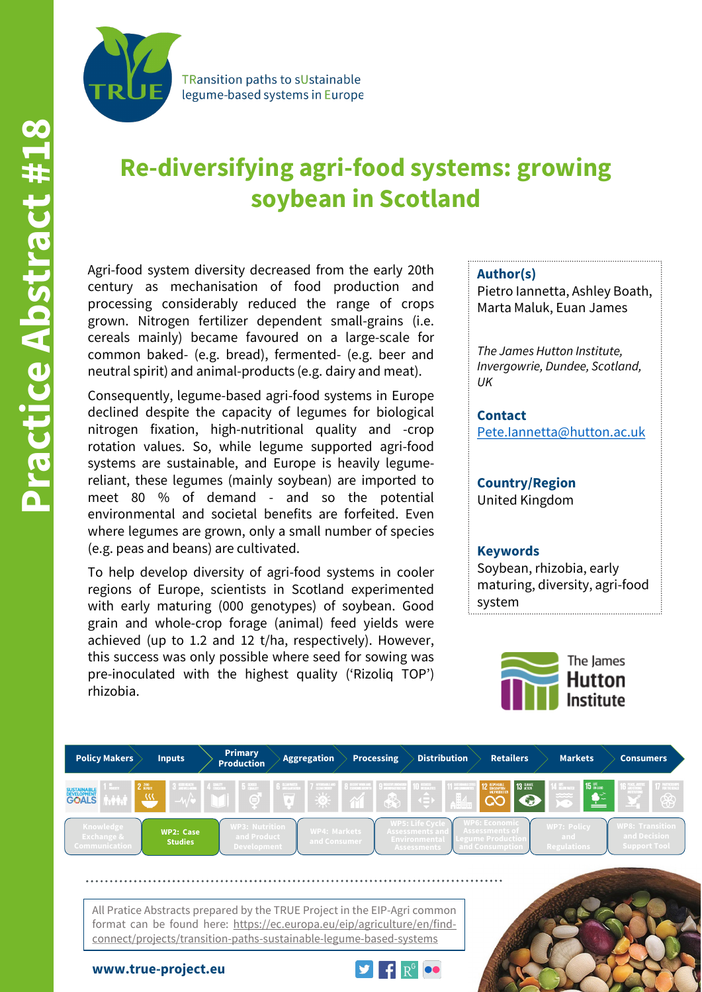

**TRansition paths to sUstainable** legume-based systems in Europe

# **Re-diversifying agri-food systems: growing soybean in Scotland**

Agri-food system diversity decreased from the early 20th century as mechanisation of food production and processing considerably reduced the range of crops grown. Nitrogen fertilizer dependent small-grains (i.e. cereals mainly) became favoured on a large-scale for common baked- (e.g. bread), fermented- (e.g. beer and neutral spirit) and animal-products (e.g. dairy and meat).

Consequently, legume-based agri-food systems in Europe declined despite the capacity of legumes for biological nitrogen fixation, high-nutritional quality and -crop rotation values. So, while legume supported agri-food systems are sustainable, and Europe is heavily legumereliant, these legumes (mainly soybean) are imported to meet 80 % of demand - and so the potential environmental and societal benefits are forfeited. Even where legumes are grown, only a small number of species (e.g. peas and beans) are cultivated.

To help develop diversity of agri-food systems in cooler regions of Europe, scientists in Scotland experimented with early maturing (000 genotypes) of soybean. Good grain and whole-crop forage (animal) feed yields were achieved (up to 1.2 and 12 t/ha, respectively). However, this success was only possible where seed for sowing was pre-inoculated with the highest quality ('Rizoliq TOP') rhizobia.

#### **Author(s)**

Pietro Iannetta, Ashley Boath, Marta Maluk, Euan James

*The James Hutton Institute, Invergowrie, Dundee, Scotland, UK*

**Contact** [Pete.Iannetta@hutton.ac.uk](mailto:Pete.Iannetta@hutton.ac.uk)

## **Country/Region** United Kingdom

### **Keywords**

Soybean, rhizobia, early maturing, diversity, agri-food system





connect/projects/transition-paths-sustainable-legume-based-systems

**www.true-project.eu**